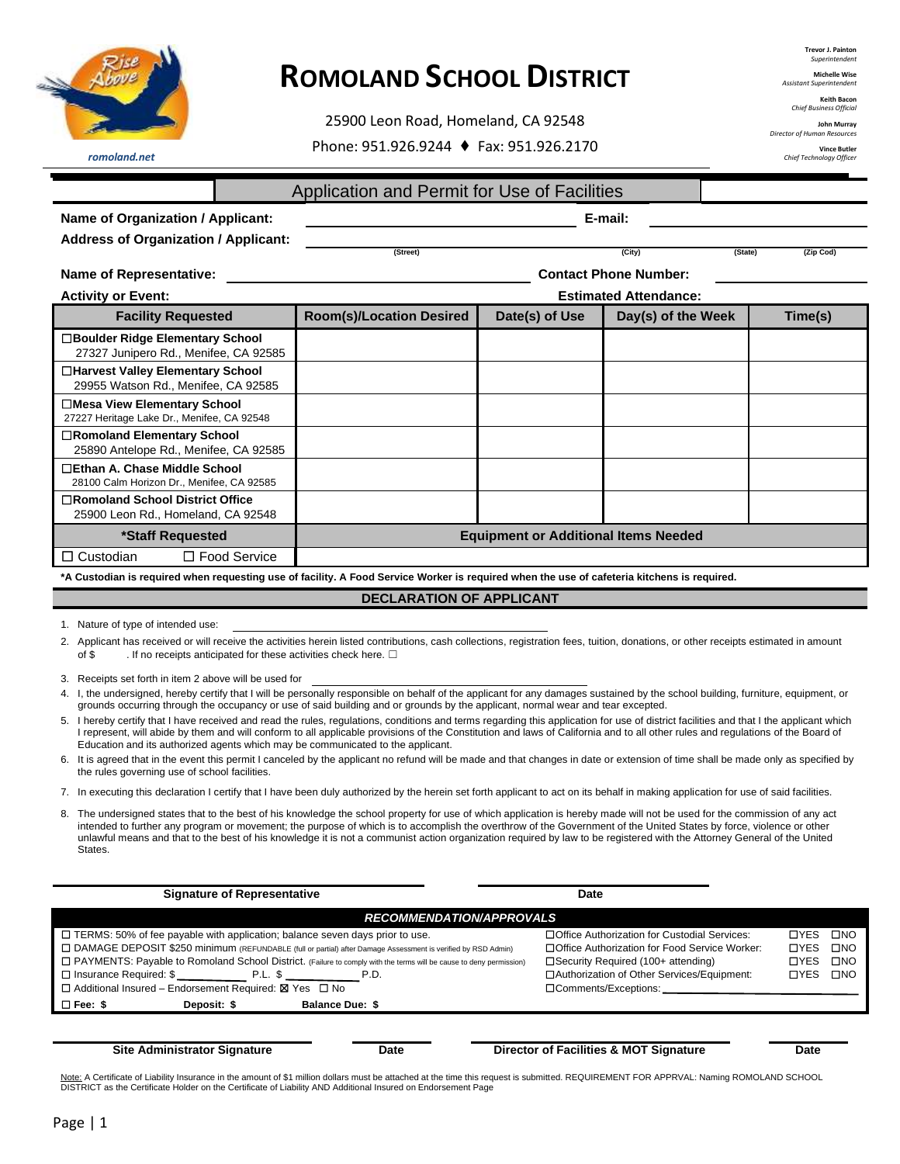

25900 Leon Road, Homeland, CA 92548 Phone: 951.926.9244 ♦ Fax: 951.926.2170

**Michelle Wise Andria**<br>*Assistantendenten* 

**Keith Baco** *Chief Business Official*

**John Murray** *Director of Human Resources*

> **Vince Butler** *Chief Technology Officer*

*romoland.net*

Application and Permit for Use of Facilities

| Name of Organization / Applicant:                                                                                                                                                                 | E-mail:                         |                                             |                              |                      |
|---------------------------------------------------------------------------------------------------------------------------------------------------------------------------------------------------|---------------------------------|---------------------------------------------|------------------------------|----------------------|
| <b>Address of Organization / Applicant:</b><br><b>Facility Requested</b><br>27327 Junipero Rd., Menifee, CA 92585<br>29955 Watson Rd., Menifee, CA 92585<br>25890 Antelope Rd., Menifee, CA 92585 | (Street)                        |                                             | $\overline{(City)}$          | (Zip Cod)<br>(State) |
| <b>Name of Representative:</b>                                                                                                                                                                    |                                 |                                             | <b>Contact Phone Number:</b> |                      |
| <b>Activity or Event:</b>                                                                                                                                                                         |                                 |                                             | <b>Estimated Attendance:</b> |                      |
|                                                                                                                                                                                                   | <b>Room(s)/Location Desired</b> | Date(s) of Use                              | Day(s) of the Week           | Time(s)              |
| □Boulder Ridge Elementary School                                                                                                                                                                  |                                 |                                             |                              |                      |
| □Harvest Valley Elementary School                                                                                                                                                                 |                                 |                                             |                              |                      |
| □Mesa View Elementary School<br>27227 Heritage Lake Dr., Menifee, CA 92548                                                                                                                        |                                 |                                             |                              |                      |
| □Romoland Elementary School                                                                                                                                                                       |                                 |                                             |                              |                      |
| □Ethan A. Chase Middle School<br>28100 Calm Horizon Dr., Menifee, CA 92585                                                                                                                        |                                 |                                             |                              |                      |
| □Romoland School District Office<br>25900 Leon Rd., Homeland, CA 92548                                                                                                                            |                                 |                                             |                              |                      |
| *Staff Requested                                                                                                                                                                                  |                                 | <b>Equipment or Additional Items Needed</b> |                              |                      |
| $\Box$ Food Service<br>$\Box$ Custodian                                                                                                                                                           |                                 |                                             |                              |                      |
| *A Custodian is required when requesting use of facility. A Food Service Worker is required when the use of cafeteria kitchens is required.                                                       |                                 |                                             |                              |                      |

**DECLARATION OF APPLICANT**

1. Nature of type of intended use:

2. Applicant has received or will receive the activities herein listed contributions, cash collections, registration fees, tuition, donations, or other receipts estimated in amount of \$ . If no receipts anticipated for these activities check here.  $\square$ 

- 3. Receipts set forth in item 2 above will be used for
- 4. I, the undersigned, hereby certify that I will be personally responsible on behalf of the applicant for any damages sustained by the school building, furniture, equipment, or grounds occurring through the occupancy or use of said building and or grounds by the applicant, normal wear and tear excepted.
- I hereby certify that I have received and read the rules, regulations, conditions and terms regarding this application for use of district facilities and that I the applicant which I represent, will abide by them and will conform to all applicable provisions of the Constitution and laws of California and to all other rules and regulations of the Board of Education and its authorized agents which may be communicated to the applicant.
- 6. It is agreed that in the event this permit I canceled by the applicant no refund will be made and that changes in date or extension of time shall be made only as specified by the rules governing use of school facilities.
- 7. In executing this declaration I certify that I have been duly authorized by the herein set forth applicant to act on its behalf in making application for use of said facilities.
- 8. The undersigned states that to the best of his knowledge the school property for use of which application is hereby made will not be used for the commission of any act intended to further any program or movement; the purpose of which is to accomplish the overthrow of the Government of the United States by force, violence or other unlawful means and that to the best of his knowledge it is not a communist action organization required by law to be registered with the Attorney General of the United States.

|                                                         | <b>Signature of Representative</b>                                                                                   | Date                                           |             |              |
|---------------------------------------------------------|----------------------------------------------------------------------------------------------------------------------|------------------------------------------------|-------------|--------------|
|                                                         |                                                                                                                      | <b>RECOMMENDATION/APPROVALS</b>                |             |              |
|                                                         | $\Box$ TERMS: 50% of fee payable with application; balance seven days prior to use.                                  | □Office Authorization for Custodial Services:  | □YES        | $\square$ NO |
|                                                         | □ DAMAGE DEPOSIT \$250 minimum (REFUNDABLE (full or partial) after Damage Assessment is verified by RSD Admin)       | □Office Authorization for Food Service Worker: | <b>OYES</b> | $\square$ NO |
|                                                         | □ PAYMENTS: Payable to Romoland School District. (Failure to comply with the terms will be cause to deny permission) | □Security Required (100+ attending)            | <b>OYES</b> | $\square$ NO |
|                                                         |                                                                                                                      | □Authorization of Other Services/Equipment:    | <b>TYES</b> | $\square$ NO |
| □ Additional Insured – Endorsement Required: X Yes □ No |                                                                                                                      |                                                |             |              |
| $\Box$ Fee: \$<br>Deposit: \$                           | <b>Balance Due: \$</b>                                                                                               |                                                |             |              |
|                                                         |                                                                                                                      |                                                |             |              |

**Site Administrator Signature Date Director of Facilities & MOT Signature Date**

<u>Note:</u> A Certificate of Liability Insurance in the amount of \$1 million dollars must be attached at the time this request is submitted. REQUIREMENT FOR APPRVAL: Naming ROMOLAND SCHOOL<br>DISTRICT as the Certificate Holder on

**Trevor J. Painton** *Superintendent*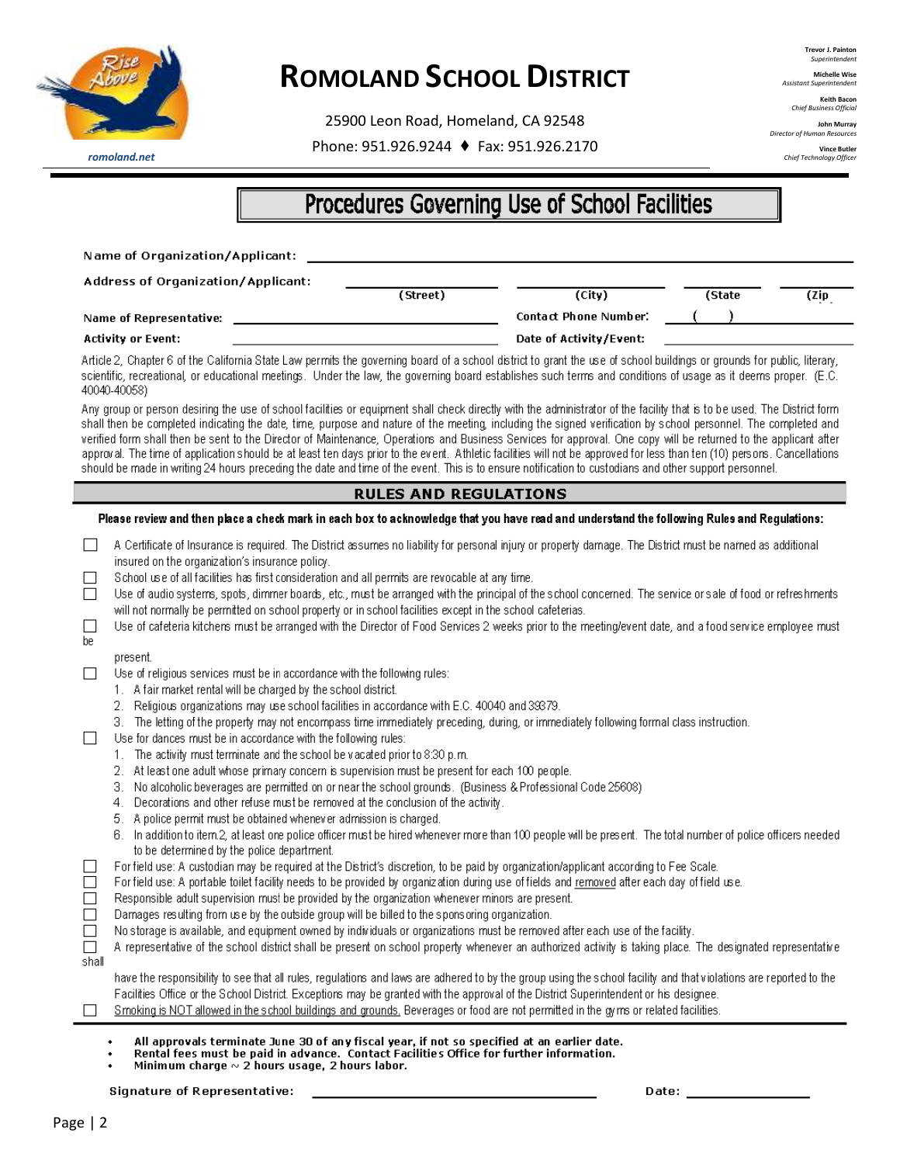

25900 Leon Road, Homeland, CA 92548 Phone: 951.926.9244 ♦ Fax: 951.926.2170 **Trevor J. Painton** *Superintendent*

**Michelle Wise** *Assistant Superintendent*

**Keith Baco** *Chief Business Official*

**John Murray** *Director of Human Resources*

> **Vince Butler** *Chief Technology Officer*

*romoland.net*

### Procedures Governing Use of School Facilities

|                              | Name of Organization/Applicant:                                                                                                                                                                                                                                                                                                                                                                                                                                                                                                                                                                                                                                                                                                                                                                                                                                  |                              |                              |        |       |
|------------------------------|------------------------------------------------------------------------------------------------------------------------------------------------------------------------------------------------------------------------------------------------------------------------------------------------------------------------------------------------------------------------------------------------------------------------------------------------------------------------------------------------------------------------------------------------------------------------------------------------------------------------------------------------------------------------------------------------------------------------------------------------------------------------------------------------------------------------------------------------------------------|------------------------------|------------------------------|--------|-------|
|                              | Address of Organization/Applicant:                                                                                                                                                                                                                                                                                                                                                                                                                                                                                                                                                                                                                                                                                                                                                                                                                               | (Street)                     | (City)                       | (State |       |
|                              | Name of Representative:                                                                                                                                                                                                                                                                                                                                                                                                                                                                                                                                                                                                                                                                                                                                                                                                                                          |                              | <b>Contact Phone Number:</b> |        | (Zip) |
|                              | <b>Activity or Event:</b>                                                                                                                                                                                                                                                                                                                                                                                                                                                                                                                                                                                                                                                                                                                                                                                                                                        |                              | Date of Activity/Event:      |        |       |
|                              | Article 2, Chapter 6 of the California State Law permits the governing board of a school district to grant the use of school buildings or grounds for public, literary,<br>scientific, recreational, or educational meetings. Under the law, the governing board establishes such terms and conditions of usage as it deems proper. (E.C.<br>40040-40058)                                                                                                                                                                                                                                                                                                                                                                                                                                                                                                        |                              |                              |        |       |
|                              | Any group or person desiring the use of school facilities or equipment shall check directly with the administrator of the facility that is to be used. The District form<br>shall then be completed indicating the date, time, purpose and nature of the meeting, including the signed verification by school personnel. The completed and<br>verified form shall then be sent to the Director of Maintenance, Operations and Business Services for approval. One copy will be returned to the applicant after<br>approval. The time of application should be at least ten days prior to the event. Athletic facilities will not be approved for less than ten (10) persons. Cancellations<br>should be made in writing 24 hours preceding the date and time of the event. This is to ensure notification to custodians and other support personnel.             |                              |                              |        |       |
|                              |                                                                                                                                                                                                                                                                                                                                                                                                                                                                                                                                                                                                                                                                                                                                                                                                                                                                  | <b>RULES AND REGULATIONS</b> |                              |        |       |
|                              | Please review and then place a check mark in each box to acknowledge that you have read and understand the following Rules and Regulations:                                                                                                                                                                                                                                                                                                                                                                                                                                                                                                                                                                                                                                                                                                                      |                              |                              |        |       |
| ப<br>П<br>$\mathbf{L}$<br>be | A Certificate of Insurance is required. The District assumes no liability for personal injury or property damage. The District must be named as additional<br>insured on the organization's insurance policy.<br>School use of all facilities has first consideration and all permits are revocable at any time.<br>Use of audio systems, spots, dimmer boards, etc., must be arranged with the principal of the school concerned. The service or sale of food or refreshments<br>will not normally be permitted on school property or in school facilities except in the school cafeterias.<br>Use of cafeteria kitchens must be arranged with the Director of Food Services 2 weeks prior to the meeting/event date, and a food service employee must                                                                                                          |                              |                              |        |       |
|                              | present.<br>Use of religious services must be in accordance with the following rules:<br>1. A fair market rental will be charged by the school district.<br>2. Religious organizations may use school facilities in accordance with E.C. 40040 and 39379.<br>3. The letting of the property may not encompass time immediately preceding, during, or immediately following formal class instruction.<br>Use for dances must be in accordance with the following rules:<br>The activity must terminate and the school be vacated prior to 8:30 p.m.<br>2. At least one adult whose primary concern is supervision must be present for each 100 people.<br>No alcoholic beverages are permitted on or near the school grounds. (Business & Professional Code 25608)<br>З.<br>Decorations and other refuse must be removed at the conclusion of the activity.<br>4. |                              |                              |        |       |

5. A police permit must be obtained whenever admission is charged.

|                                            | 6. In addition to item.2, at least one police officer must be hired whenever more than 100 people will be present. The total number of police officers needed |  |  |
|--------------------------------------------|---------------------------------------------------------------------------------------------------------------------------------------------------------------|--|--|
| to be determined by the police department. |                                                                                                                                                               |  |  |

- For field use: A custodian may be required at the District's discretion, to be paid by organization/applicant according to Fee Scale.  $\Box$
- $\Box$ For field use: A portable toilet facility needs to be provided by organization during use of fields and removed after each day of field use.
- $\Box$ Responsible adult supervision must be provided by the organization whenever minors are present.
- Damages resulting from use by the outside group will be billed to the sponsoring organization.  $\Box$
- $\Box$ No storage is available, and equipment owned by individuals or organizations must be removed after each use of the facility.

|       | A representative of the school district shall be present on school property whenever an authorized activity is taking place. The designated representative |  |  |  |
|-------|------------------------------------------------------------------------------------------------------------------------------------------------------------|--|--|--|
| shall |                                                                                                                                                            |  |  |  |

have the responsibility to see that all rules, regulations and laws are adhered to by the group using the school facility and that violations are reported to the Facilities Office or the School District. Exceptions may be granted with the approval of the District Superintendent or his designee.

- Smoking is NOT allowed in the school buildings and grounds. Beverages or food are not permitted in the gyrrs or related facilities.
- All approvals terminate June 30 of any fiscal year, if not so specified at an earlier date.
- Rental fees must be paid in advance. Contact Facilities Office for further information.
- Minimum charge  $\sim$  2 hours usage, 2 hours labor.

Signature of Representative:

Date: \_\_\_\_\_\_\_\_\_

 $\Box$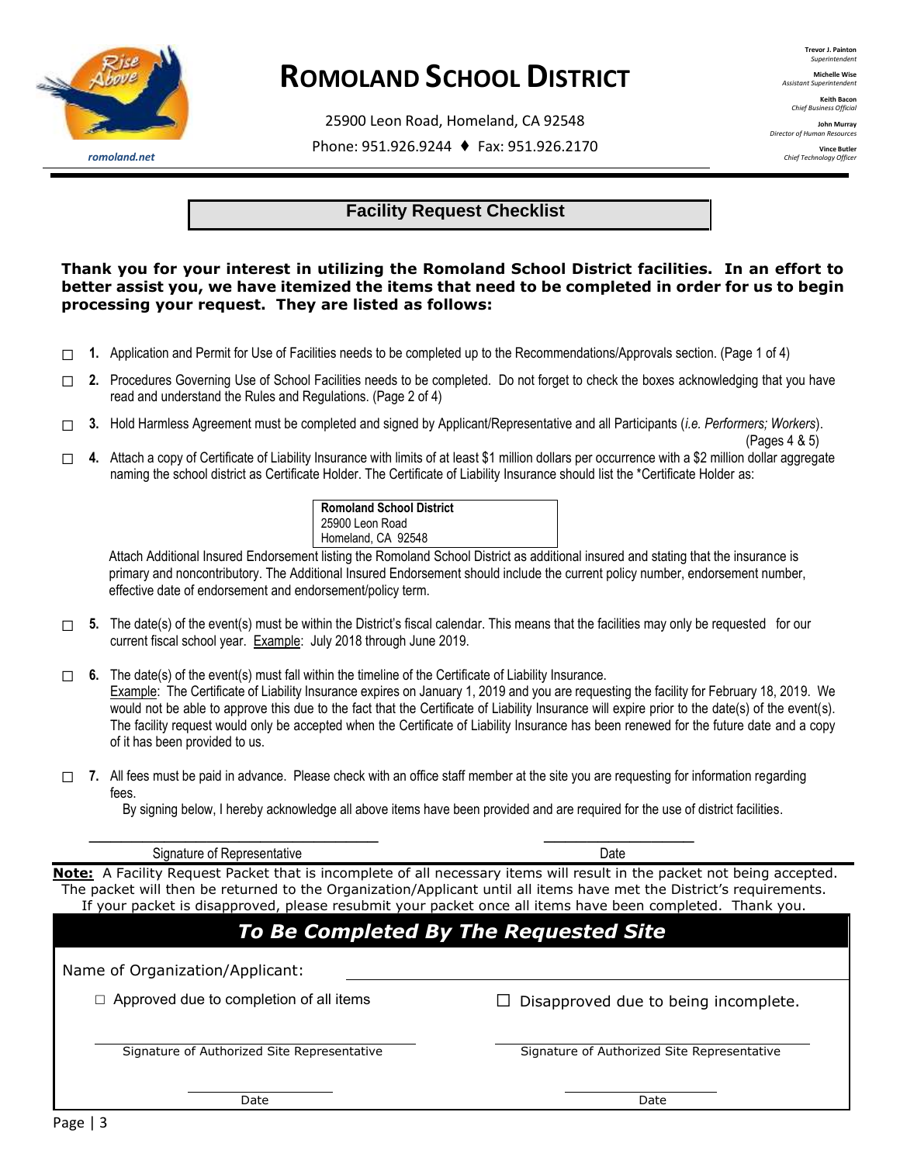

25900 Leon Road, Homeland, CA 92548

Phone: 951.926.9244 ♦ Fax: 951.926.2170

**Trevor J. Painton** *Superintendent* **Michelle Wise** *Assistant Superintendent*

**Keith Baco** *Chief Business Official* **John Murray** *Director of Human Resources* **Vince Butler** *Chief Technology Officer*

*romoland.net*

#### **Facility Request Checklist**

### **Thank you for your interest in utilizing the Romoland School District facilities. In an effort to better assist you, we have itemized the items that need to be completed in order for us to begin processing your request. They are listed as follows:** est in utilizing the Romoland School District facil<br>re itemized the items that need to be completed in<br>. They are listed as follows:

- ☐ **1.** Application and Permit for Use of Facilities needs to be completed up to the Recommendations/Approvals section. (Page 1 of 4)
- □ 2. Procedures Governing Use of School Facilities needs to be completed. Do not forget to check the boxes acknowledging that you have read and understand the Rules and Regulations. (Page 2 of 4) of School Facilities needs to be completed. Do not forget to check the lates and Regulations. (Page 2 of 4)<br>must be completed and signed by Applicant/Representative and all Partic<br>of Liability Insurance with limits of at l
- ☐ **3.** Hold Harmless Agreement must be completed and signed by Applicant/Representative and all Participants (*i.e. Performers; Workers*).
- $(\text{Pages } 4 \& 5)$ ☐ **4.** Attach a copy of Certificate of Liability Insurance with limits of at least \$1 million dollars per occurrence with a \$2 million dollar aggregate naming the school district as Certificate Holder. The Certificate of Liability Insurance should list the \*Certificate Holder as:

| <b>Romoland School District</b>               |
|-----------------------------------------------|
| 25900 Leon Road                               |
| Homeland, CA 92548                            |
| nt listing the Romoland School District as ad |
| ditional Insured Endorsement should include   |
| dorsement/nolicy term                         |

 Attach Additional Insured Endorsement listing the Romoland School District as additional insured and stating that the insurance is primary and noncontributory. The Additional Insured Endorsement should include the current policy number, endorsement number, effective date of endorsement and endorsement/policy term.

☐ **5.** The date(s) of the event(s) must be within the District's fiscal calendar. This means that the facilities may only be requested for our current fiscal school year. Example: July 2018 through June 2019.

☐ **6.** The date(s) of the event(s) must fall within the timeline of the Certificate of Liability Insurance. Example: The Certificate of Liability Insurance expires on January 1, 2019 and you are requesting the facility for February 18, 2019. We would not be able to approve this due to the fact that the Certificate of Liability Insurance will expire prior to the date(s) of the event(s). The facility request would only be accepted when the Certificate of Liability Insurance has been renewed for the future date and a copy of it has been provided to us. must be within the District's fiscal calendar. This means that the facilities <br>
<u>Example</u>: July 2018 through June 2019.<br>
must fall within the timeline of the Certificate of Liability Insurance.<br>
Liability Insurance expires

□ 7. All fees must be paid in advance. Please check with an office staff member at the site you are requesting for information regarding fees. n office staff mem<mark>t</mark><br>ems have been pro

**\_\_\_\_\_\_\_\_\_\_\_\_\_\_\_\_\_\_\_\_\_\_\_\_\_\_\_ \_\_\_\_\_\_\_\_\_\_\_\_\_\_** 

By signing below, I hereby acknowledge all above items have been provided and are required for the use of district facilities.

Signature of Representative **Date** Date Date **Date** Date Date Date Date

**Note:** A Facility Request Packet that is incomplete of all necessary items will result in the packet not being accepted. The packet will then be returned to the Organization/Applicant until all items have met the District's requirements. If your packet is disapproved, please resubmit your packet once all items have been completed. Thank you.

| <b>To Be Completed By The Requested Site</b>   |                                             |  |  |  |  |
|------------------------------------------------|---------------------------------------------|--|--|--|--|
| Name of Organization/Applicant:                |                                             |  |  |  |  |
| $\Box$ Approved due to completion of all items | $\Box$ Disapproved due to being incomplete. |  |  |  |  |
| Signature of Authorized Site Representative    | Signature of Authorized Site Representative |  |  |  |  |
| Date                                           | Date                                        |  |  |  |  |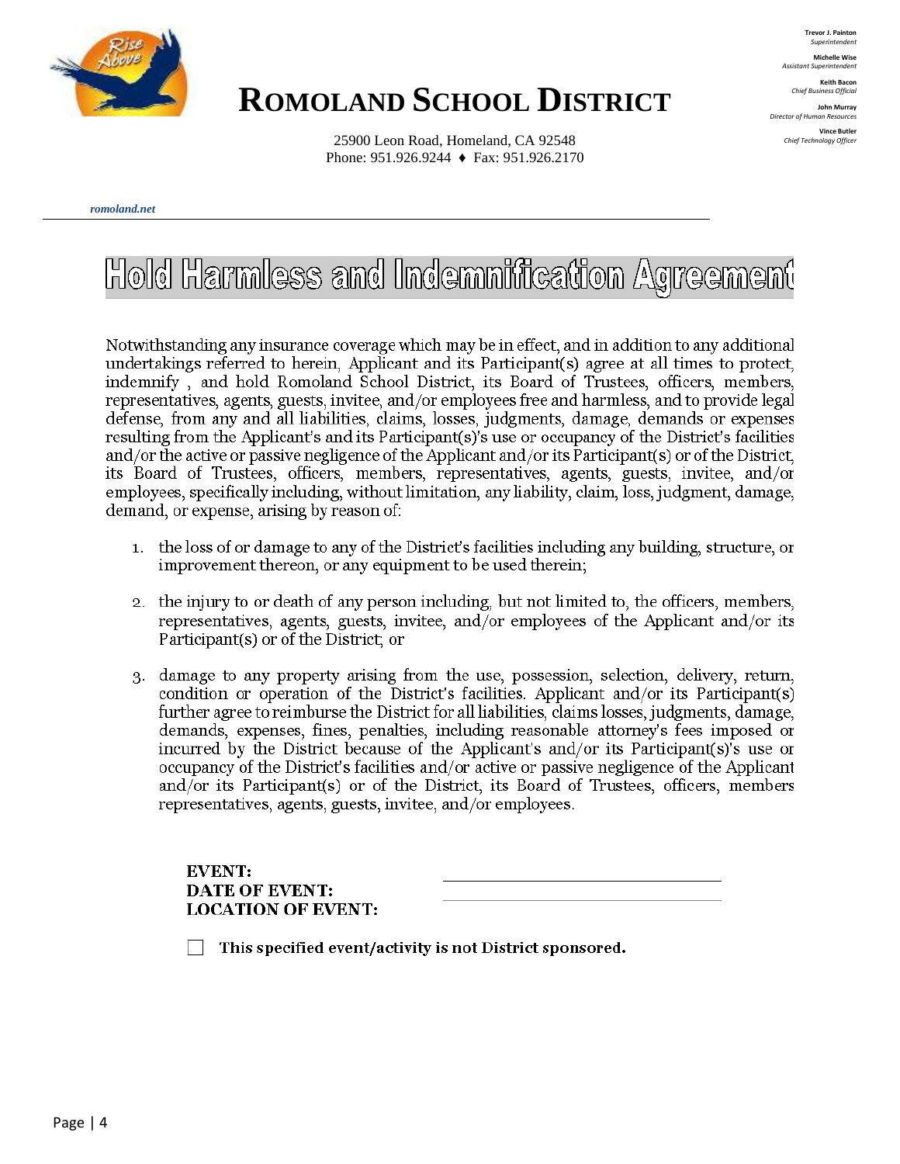

**Trevor J. Painton** *Superintendent* **Michelle Wise**

*Assistant Superintendent* **Keith Bacon** *Chief Business Official*

**John Murray** *Director of Human Resources*

**Vince Butler** *Chief Technology Officer*

25900 Leon Road, Homeland, CA 92548 Phone: 951.926.9244 ♦ Fax: 951.926.2170

#### *romoland.net*

# Hold Harmless and Indemnification Agreement

Notwithstanding any insurance coverage which may be in effect, and in addition to any additional undertakings referred to herein, Applicant and its Participant(s) agree at all times to protect, indemnify, and hold Romoland School District, its Board of Trustees, officers, members, representatives, agents, guests, invitee, and/or employees free and harmless, and to provide legal defense, from any and all liabilities, claims, losses, judgments, damage, demands or expenses resulting from the Applicant's and its Participant(s)'s use or occupancy of the District's facilities and/or the active or passive negligence of the Applicant and/or its Participant(s) or of the District, its Board of Trustees, officers, members, representatives, agents, guests, invitee, and/or employees, specifically including, without limitation, any liability, claim, loss, judgment, damage, demand, or expense, arising by reason of:

- 1. the loss of or damage to any of the District's facilities including any building, structure, or improvement thereon, or any equipment to be used therein;
- 2. the injury to or death of any person including, but not limited to, the officers, members, representatives, agents, guests, invitee, and/or employees of the Applicant and/or its Participant(s) or of the District; or
- damage to any property arising from the use, possession, selection, delivery, return, 3. condition or operation of the District's facilities. Applicant and/or its Participant(s) further agree to reimburse the District for all liabilities, claims losses, judgments, damage, demands, expenses, fines, penalties, including reasonable attorney's fees imposed or incurred by the District because of the Applicant's and/or its Participant(s)'s use or occupancy of the District's facilities and/or active or passive negligence of the Applicant and/or its Participant(s) or of the District, its Board of Trustees, officers, members representatives, agents, guests, invitee, and/or employees.

**EVENT: DATE OF EVENT: LOCATION OF EVENT:** 

This specified event/activity is not District sponsored.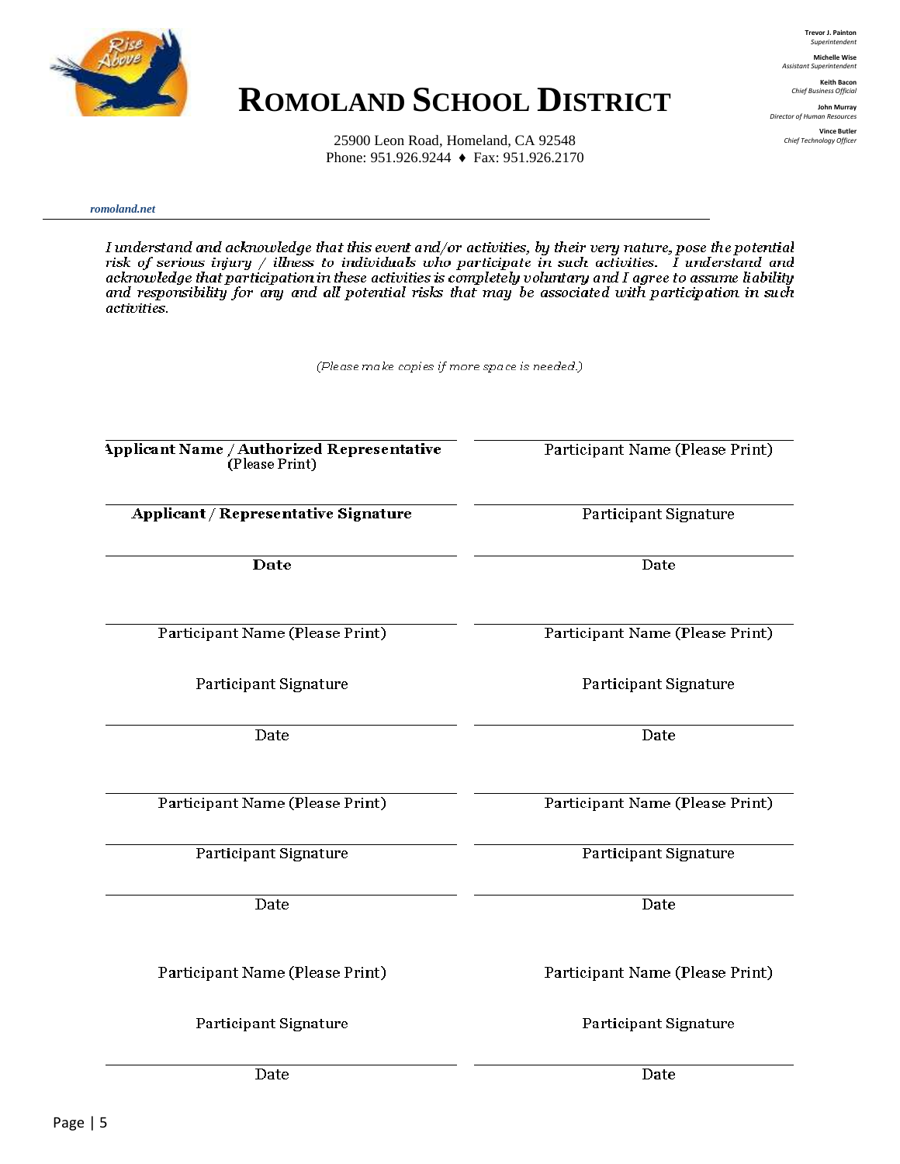

**Trevor J. Painton** *Superintendent* **Michelle Wise**

*Assistant Superintendent* **Keith Bacon** *Chief Business Official*

**John Murray** *Director of Human Resources* **Vince Butler**

*Chief Technology Officer*

25900 Leon Road, Homeland, CA 92548 Phone: 951.926.9244 ♦ Fax: 951.926.2170

*romoland.net*

I understand and acknowledge that this event and/or activities, by their very nature, pose the potential risk of serious injury / illness to individuals who participate in such activities.  $\hat{I}$  understand and acknowledge that participation in these activities is completely voluntary and I agree to assume liability and responsibility for any and all potential risks that may be associated with participation in such activities.

(Please make copies if more space is needed.)

| Applicant Name / Authorized Representative<br>(Please Print) | Participant Name (Please Print) |  |  |
|--------------------------------------------------------------|---------------------------------|--|--|
| <b>Applicant / Representative Signature</b>                  | Participant Signature           |  |  |
| Date                                                         | Date                            |  |  |
| Participant Name (Please Print)                              | Participant Name (Please Print) |  |  |
| Participant Signature                                        | Participant Signature           |  |  |
| Date                                                         | Date                            |  |  |
| Participant Name (Please Print)                              | Participant Name (Please Print) |  |  |
| Participant Signature                                        | Participant Signature           |  |  |
| Date                                                         | Date                            |  |  |
| Participant Name (Please Print)                              | Participant Name (Please Print) |  |  |
| Participant Signature                                        | Participant Signature           |  |  |
| Date                                                         | Date                            |  |  |